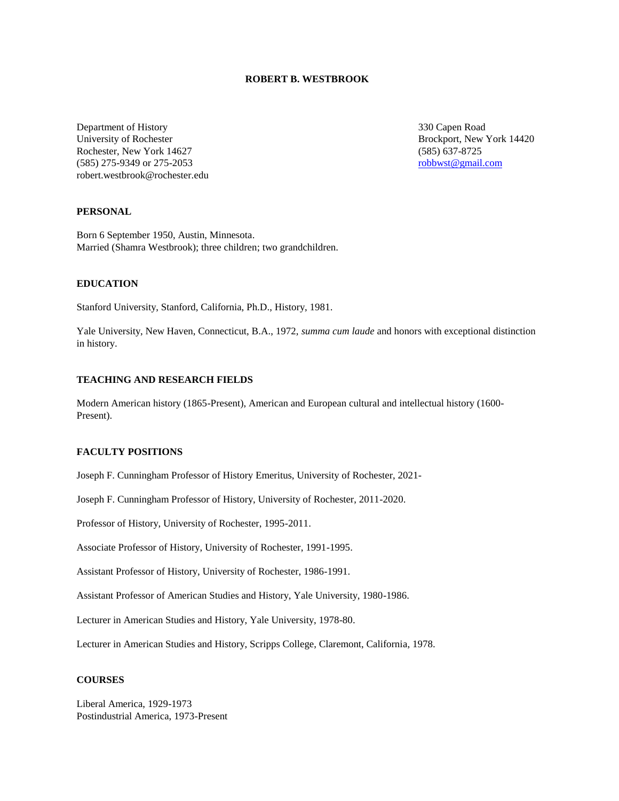# **ROBERT B. WESTBROOK**

Department of History University of Rochester Rochester, New York 14627 (585) 275-9349 or 275-2053 robert.westbrook@rochester.edu  330 Capen Road Brockport, New York 14420 (585) 637-8725 robbwst@gmail.com

# **PERSONAL**

Born 6 September 1950, Austin, Minnesota. Married (Shamra Westbrook); three children; two grandchildren.

# **EDUCATION**

Stanford University, Stanford, California, Ph.D., History, 1981.

Yale University, New Haven, Connecticut, B.A., 1972, *summa cum laude* and honors with exceptional distinction in history.

# **TEACHING AND RESEARCH FIELDS**

Modern American history (1865-Present), American and European cultural and intellectual history (1600- Present).

# **FACULTY POSITIONS**

Joseph F. Cunningham Professor of History Emeritus, University of Rochester, 2021-

Joseph F. Cunningham Professor of History, University of Rochester, 2011-2020.

Professor of History, University of Rochester, 1995-2011.

Associate Professor of History, University of Rochester, 1991-1995.

Assistant Professor of History, University of Rochester, 1986-1991.

Assistant Professor of American Studies and History, Yale University, 1980-1986.

Lecturer in American Studies and History, Yale University, 1978-80.

Lecturer in American Studies and History, Scripps College, Claremont, California, 1978.

# **COURSES**

Liberal America, 1929-1973 Postindustrial America, 1973-Present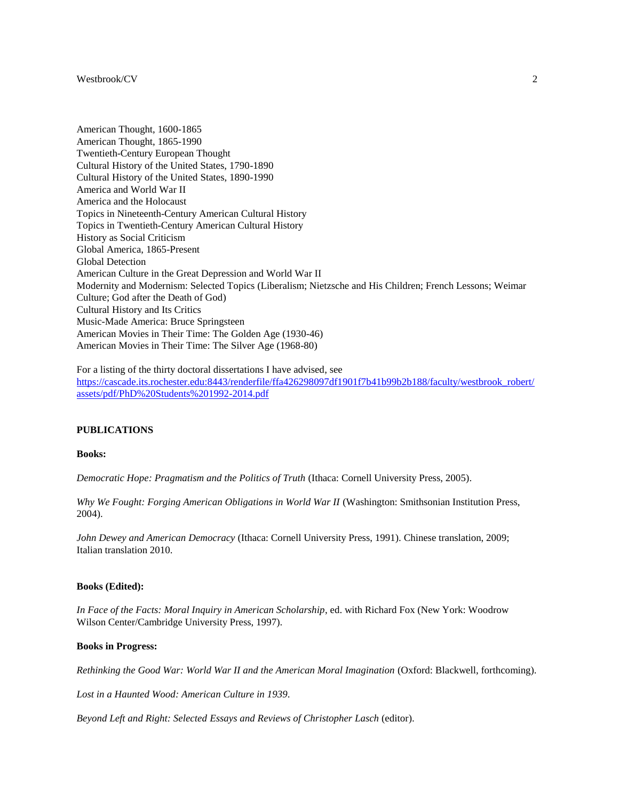American Thought, 1600-1865 American Thought, 1865-1990 Twentieth-Century European Thought Cultural History of the United States, 1790-1890 Cultural History of the United States, 1890-1990 America and World War II America and the Holocaust Topics in Nineteenth-Century American Cultural History Topics in Twentieth-Century American Cultural History History as Social Criticism Global America, 1865-Present Global Detection American Culture in the Great Depression and World War II Modernity and Modernism: Selected Topics (Liberalism; Nietzsche and His Children; French Lessons; Weimar Culture; God after the Death of God) Cultural History and Its Critics Music-Made America: Bruce Springsteen American Movies in Their Time: The Golden Age (1930-46) American Movies in Their Time: The Silver Age (1968-80)

For a listing of the thirty doctoral dissertations I have advised, see [https://cascade.its.rochester.edu:8443/renderfile/ffa426298097df1901f7b41b99b2b188/faculty/westbrook\\_robert/](https://cascade.its.rochester.edu:8443/renderfile/ffa426298097df1901f7b41b99b2b188/faculty/westbrook_robert/assets/pdf/PhD%20Students%201992-2014.pdf) [assets/pdf/PhD%20Students%201992-2014.pdf](https://cascade.its.rochester.edu:8443/renderfile/ffa426298097df1901f7b41b99b2b188/faculty/westbrook_robert/assets/pdf/PhD%20Students%201992-2014.pdf)

### **PUBLICATIONS**

# **Books:**

*Democratic Hope: Pragmatism and the Politics of Truth* (Ithaca: Cornell University Press, 2005).

*Why We Fought: Forging American Obligations in World War II* (Washington: Smithsonian Institution Press, 2004).

*John Dewey and American Democracy* (Ithaca: Cornell University Press, 1991). Chinese translation, 2009; Italian translation 2010.

### **Books (Edited):**

*In Face of the Facts: Moral Inquiry in American Scholarship*, ed. with Richard Fox (New York: Woodrow Wilson Center/Cambridge University Press, 1997).

### **Books in Progress:**

*Rethinking the Good War: World War II and the American Moral Imagination* (Oxford: Blackwell, forthcoming).

*Lost in a Haunted Wood: American Culture in 1939*.

*Beyond Left and Right: Selected Essays and Reviews of Christopher Lasch* (editor).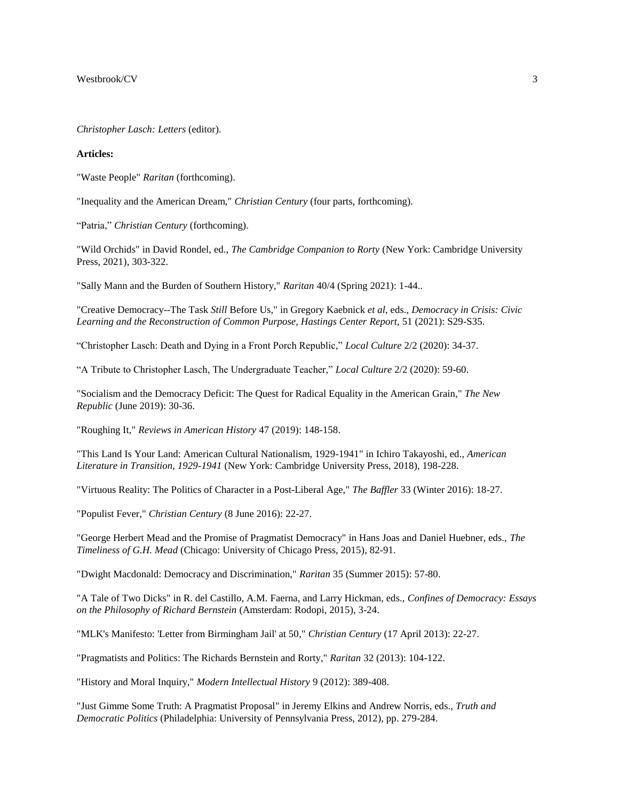*Christopher Lasch: Letters* (editor).

# **Articles:**

"Waste People" *Raritan* (forthcoming).

"Inequality and the American Dream," *Christian Century* (four parts, forthcoming).

"Patria," *Christian Century* (forthcoming).

"Wild Orchids" in David Rondel, ed., *The Cambridge Companion to Rorty* (New York: Cambridge University Press, 2021), 303-322.

"Sally Mann and the Burden of Southern History," *Raritan* 40/4 (Spring 2021): 1-44..

"Creative Democracy--The Task *Still* Before Us," in Gregory Kaebnick *et al*, eds., *Democracy in Crisis: Civic Learning and the Reconstruction of Common Purpose, Hastings Center Report*, 51 (2021): S29-S35.

"Christopher Lasch: Death and Dying in a Front Porch Republic," *Local Culture* 2/2 (2020): 34-37.

"A Tribute to Christopher Lasch, The Undergraduate Teacher," *Local Culture* 2/2 (2020): 59-60.

"Socialism and the Democracy Deficit: The Quest for Radical Equality in the American Grain," *The New Republic* (June 2019): 30-36.

"Roughing It," *Reviews in American History* 47 (2019): 148-158.

"This Land Is Your Land: American Cultural Nationalism, 1929-1941" in Ichiro Takayoshi, ed., *American Literature in Transition, 1929-1941* (New York: Cambridge University Press, 2018), 198-228.

"Virtuous Reality: The Politics of Character in a Post-Liberal Age," *The Baffler* 33 (Winter 2016): 18-27.

"Populist Fever," *Christian Century* (8 June 2016): 22-27.

"George Herbert Mead and the Promise of Pragmatist Democracy" in Hans Joas and Daniel Huebner, eds., *The Timeliness of G.H. Mead* (Chicago: University of Chicago Press, 2015), 82-91.

"Dwight Macdonald: Democracy and Discrimination," *Raritan* 35 (Summer 2015): 57-80.

"A Tale of Two Dicks" in R. del Castillo, A.M. Faerna, and Larry Hickman, eds., *Confines of Democracy: Essays on the Philosophy of Richard Bernstein* (Amsterdam: Rodopi, 2015), 3-24.

"MLK's Manifesto: 'Letter from Birmingham Jail' at 50," *Christian Century* (17 April 2013): 22-27.

"Pragmatists and Politics: The Richards Bernstein and Rorty," *Raritan* 32 (2013): 104-122.

"History and Moral Inquiry," *Modern Intellectual History* 9 (2012): 389-408.

"Just Gimme Some Truth: A Pragmatist Proposal" in Jeremy Elkins and Andrew Norris, eds., *Truth and Democratic Politics* (Philadelphia: University of Pennsylvania Press, 2012), pp. 279-284.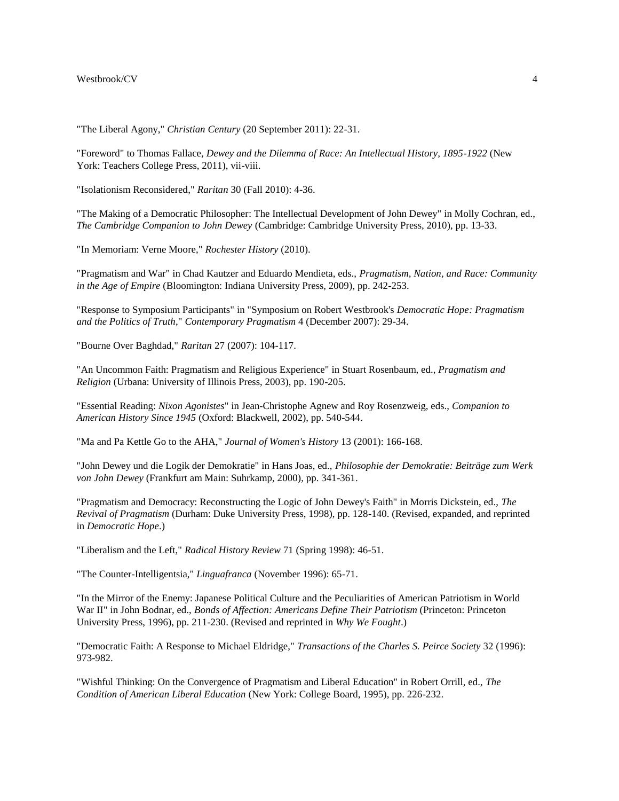"The Liberal Agony," *Christian Century* (20 September 2011): 22-31.

"Foreword" to Thomas Fallace, *Dewey and the Dilemma of Race: An Intellectual History, 1895-1922* (New York: Teachers College Press, 2011), vii-viii.

"Isolationism Reconsidered," *Raritan* 30 (Fall 2010): 4-36.

"The Making of a Democratic Philosopher: The Intellectual Development of John Dewey" in Molly Cochran, ed., *The Cambridge Companion to John Dewey* (Cambridge: Cambridge University Press, 2010), pp. 13-33.

"In Memoriam: Verne Moore," *Rochester History* (2010).

"Pragmatism and War" in Chad Kautzer and Eduardo Mendieta, eds., *Pragmatism, Nation, and Race: Community in the Age of Empire* (Bloomington: Indiana University Press, 2009), pp. 242-253.

"Response to Symposium Participants" in "Symposium on Robert Westbrook's *Democratic Hope: Pragmatism and the Politics of Truth*," *Contemporary Pragmatism* 4 (December 2007): 29-34.

"Bourne Over Baghdad," *Raritan* 27 (2007): 104-117.

"An Uncommon Faith: Pragmatism and Religious Experience" in Stuart Rosenbaum, ed., *Pragmatism and Religion* (Urbana: University of Illinois Press, 2003), pp. 190-205.

"Essential Reading: *Nixon Agonistes*" in Jean-Christophe Agnew and Roy Rosenzweig, eds., *Companion to American History Since 1945* (Oxford: Blackwell, 2002), pp. 540-544.

"Ma and Pa Kettle Go to the AHA," *Journal of Women's History* 13 (2001): 166-168.

"John Dewey und die Logik der Demokratie" in Hans Joas, ed., *Philosophie der Demokratie: Beiträge zum Werk von John Dewey* (Frankfurt am Main: Suhrkamp, 2000), pp. 341-361.

"Pragmatism and Democracy: Reconstructing the Logic of John Dewey's Faith" in Morris Dickstein, ed., *The Revival of Pragmatism* (Durham: Duke University Press, 1998), pp. 128-140. (Revised, expanded, and reprinted in *Democratic Hope*.)

"Liberalism and the Left," *Radical History Review* 71 (Spring 1998): 46-51.

"The Counter-Intelligentsia," *Linguafranca* (November 1996): 65-71.

"In the Mirror of the Enemy: Japanese Political Culture and the Peculiarities of American Patriotism in World War II" in John Bodnar, ed., *Bonds of Affection: Americans Define Their Patriotism* (Princeton: Princeton University Press, 1996), pp. 211-230. (Revised and reprinted in *Why We Fought*.)

"Democratic Faith: A Response to Michael Eldridge," *Transactions of the Charles S. Peirce Society* 32 (1996): 973-982.

"Wishful Thinking: On the Convergence of Pragmatism and Liberal Education" in Robert Orrill, ed., *The Condition of American Liberal Education* (New York: College Board, 1995), pp. 226-232.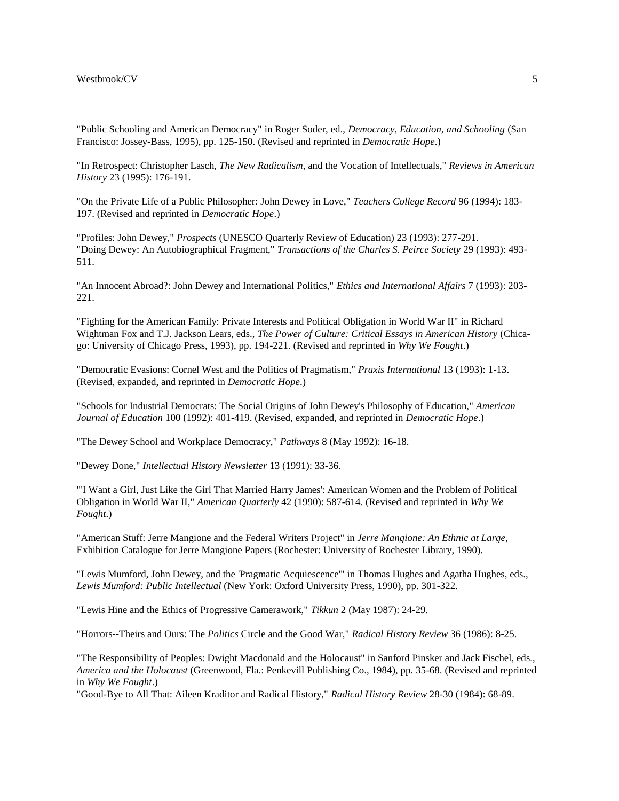"Public Schooling and American Democracy" in Roger Soder, ed., *Democracy, Education, and Schooling* (San Francisco: Jossey-Bass, 1995), pp. 125-150. (Revised and reprinted in *Democratic Hope*.)

"In Retrospect: Christopher Lasch, *The New Radicalism*, and the Vocation of Intellectuals," *Reviews in American History* 23 (1995): 176-191.

"On the Private Life of a Public Philosopher: John Dewey in Love," *Teachers College Record* 96 (1994): 183- 197. (Revised and reprinted in *Democratic Hope*.)

"Profiles: John Dewey," *Prospects* (UNESCO Quarterly Review of Education) 23 (1993): 277-291. "Doing Dewey: An Autobiographical Fragment," *Transactions of the Charles S. Peirce Society* 29 (1993): 493- 511.

"An Innocent Abroad?: John Dewey and International Politics," *Ethics and International Affairs* 7 (1993): 203- 221.

"Fighting for the American Family: Private Interests and Political Obligation in World War II" in Richard Wightman Fox and T.J. Jackson Lears, eds., *The Power of Culture: Critical Essays in American History* (Chicago: University of Chicago Press, 1993), pp. 194-221. (Revised and reprinted in *Why We Fought*.)

"Democratic Evasions: Cornel West and the Politics of Pragmatism," *Praxis International* 13 (1993): 1-13. (Revised, expanded, and reprinted in *Democratic Hope*.)

"Schools for Industrial Democrats: The Social Origins of John Dewey's Philosophy of Education," *American Journal of Education* 100 (1992): 401-419. (Revised, expanded, and reprinted in *Democratic Hope*.)

"The Dewey School and Workplace Democracy," *Pathways* 8 (May 1992): 16-18.

"Dewey Done," *Intellectual History Newsletter* 13 (1991): 33-36.

"'I Want a Girl, Just Like the Girl That Married Harry James': American Women and the Problem of Political Obligation in World War II," *American Quarterly* 42 (1990): 587-614. (Revised and reprinted in *Why We Fought*.)

"American Stuff: Jerre Mangione and the Federal Writers Project" in *Jerre Mangione: An Ethnic at Large*, Exhibition Catalogue for Jerre Mangione Papers (Rochester: University of Rochester Library, 1990).

"Lewis Mumford, John Dewey, and the 'Pragmatic Acquiescence'" in Thomas Hughes and Agatha Hughes, eds., *Lewis Mumford: Public Intellectual* (New York: Oxford University Press, 1990), pp. 301-322.

"Lewis Hine and the Ethics of Progressive Camerawork," *Tikkun* 2 (May 1987): 24-29.

"Horrors--Theirs and Ours: The *Politics* Circle and the Good War," *Radical History Review* 36 (1986): 8-25.

"The Responsibility of Peoples: Dwight Macdonald and the Holocaust" in Sanford Pinsker and Jack Fischel, eds., *America and the Holocaust* (Greenwood, Fla.: Penkevill Publishing Co., 1984), pp. 35-68. (Revised and reprinted in *Why We Fought*.)

"Good-Bye to All That: Aileen Kraditor and Radical History," *Radical History Review* 28-30 (1984): 68-89.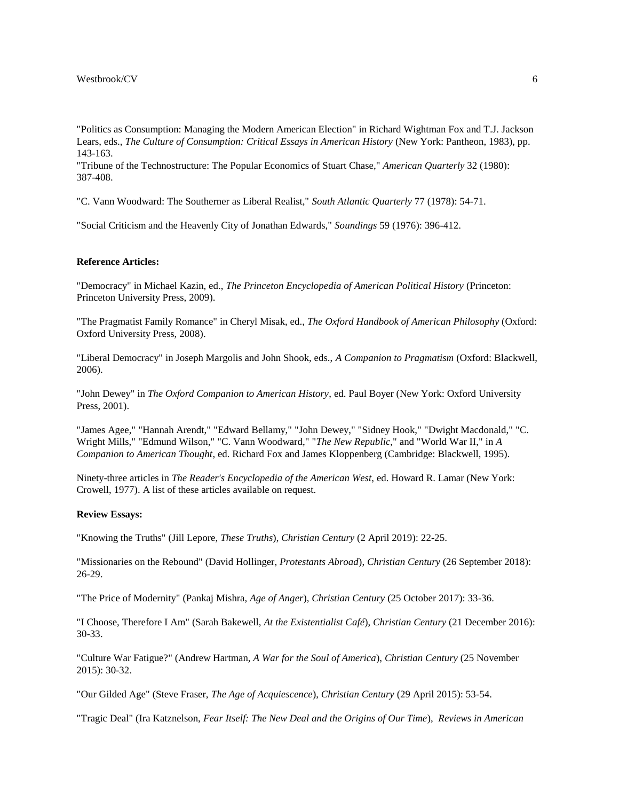"Politics as Consumption: Managing the Modern American Election" in Richard Wightman Fox and T.J. Jackson Lears, eds., *The Culture of Consumption: Critical Essays in American History* (New York: Pantheon, 1983), pp. 143-163.

"Tribune of the Technostructure: The Popular Economics of Stuart Chase," *American Quarterly* 32 (1980): 387-408.

"C. Vann Woodward: The Southerner as Liberal Realist," *South Atlantic Quarterly* 77 (1978): 54-71.

"Social Criticism and the Heavenly City of Jonathan Edwards," *Soundings* 59 (1976): 396-412.

# **Reference Articles:**

"Democracy" in Michael Kazin, ed., *The Princeton Encyclopedia of American Political History* (Princeton: Princeton University Press, 2009).

"The Pragmatist Family Romance" in Cheryl Misak, ed., *The Oxford Handbook of American Philosophy* (Oxford: Oxford University Press, 2008).

"Liberal Democracy" in Joseph Margolis and John Shook, eds., *A Companion to Pragmatism* (Oxford: Blackwell, 2006).

"John Dewey" in *The Oxford Companion to American History*, ed. Paul Boyer (New York: Oxford University Press, 2001).

"James Agee," "Hannah Arendt," "Edward Bellamy," "John Dewey," "Sidney Hook," "Dwight Macdonald," "C. Wright Mills," "Edmund Wilson," "C. Vann Woodward," "*The New Republic*," and "World War II," in *A Companion to American Thought*, ed. Richard Fox and James Kloppenberg (Cambridge: Blackwell, 1995).

Ninety-three articles in *The Reader's Encyclopedia of the American West*, ed. Howard R. Lamar (New York: Crowell, 1977). A list of these articles available on request.

# **Review Essays:**

"Knowing the Truths" (Jill Lepore, *These Truths*), *Christian Century* (2 April 2019): 22-25.

"Missionaries on the Rebound" (David Hollinger, *Protestants Abroad*), *Christian Century* (26 September 2018): 26-29.

"The Price of Modernity" (Pankaj Mishra, *Age of Anger*), *Christian Century* (25 October 2017): 33-36.

"I Choose, Therefore I Am" (Sarah Bakewell, *At the Existentialist Café*), *Christian Century* (21 December 2016): 30-33.

"Culture War Fatigue?" (Andrew Hartman, *A War for the Soul of America*), *Christian Century* (25 November 2015): 30-32.

"Our Gilded Age" (Steve Fraser, *The Age of Acquiescence*), *Christian Century* (29 April 2015): 53-54.

"Tragic Deal" (Ira Katznelson, *Fear Itself: The New Deal and the Origins of Our Time*), *Reviews in American*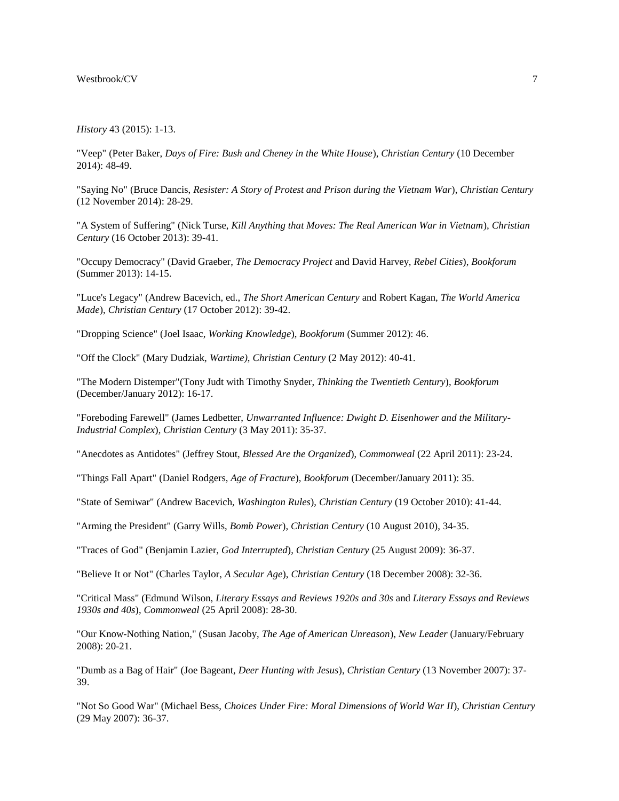#### *History* 43 (2015): 1-13.

"Veep" (Peter Baker, *Days of Fire: Bush and Cheney in the White House*), *Christian Century* (10 December 2014): 48-49.

"Saying No" (Bruce Dancis, *Resister: A Story of Protest and Prison during the Vietnam War*), *Christian Century* (12 November 2014): 28-29.

"A System of Suffering" (Nick Turse, *Kill Anything that Moves: The Real American War in Vietnam*), *Christian Century* (16 October 2013): 39-41.

"Occupy Democracy" (David Graeber, *The Democracy Project* and David Harvey, *Rebel Cities*), *Bookforum* (Summer 2013): 14-15.

"Luce's Legacy" (Andrew Bacevich, ed., *The Short American Century* and Robert Kagan, *The World America Made*), *Christian Century* (17 October 2012): 39-42.

"Dropping Science" (Joel Isaac, *Working Knowledge*), *Bookforum* (Summer 2012): 46.

"Off the Clock" (Mary Dudziak, *Wartime)*, *Christian Century* (2 May 2012): 40-41.

"The Modern Distemper"(Tony Judt with Timothy Snyder, *Thinking the Twentieth Century*), *Bookforum* (December/January 2012): 16-17.

"Foreboding Farewell" (James Ledbetter, *Unwarranted Influence: Dwight D. Eisenhower and the Military-Industrial Complex*), *Christian Century* (3 May 2011): 35-37.

"Anecdotes as Antidotes" (Jeffrey Stout, *Blessed Are the Organized*), *Commonweal* (22 April 2011): 23-24.

"Things Fall Apart" (Daniel Rodgers, *Age of Fracture*), *Bookforum* (December/January 2011): 35.

"State of Semiwar" (Andrew Bacevich, *Washington Rules*), *Christian Century* (19 October 2010): 41-44.

"Arming the President" (Garry Wills, *Bomb Power*), *Christian Century* (10 August 2010), 34-35.

"Traces of God" (Benjamin Lazier, *God Interrupted*), *Christian Century* (25 August 2009): 36-37.

"Believe It or Not" (Charles Taylor, *A Secular Age*), *Christian Century* (18 December 2008): 32-36.

"Critical Mass" (Edmund Wilson, *Literary Essays and Reviews 1920s and 30s* and *Literary Essays and Reviews 1930s and 40s*), *Commonweal* (25 April 2008): 28-30.

"Our Know-Nothing Nation," (Susan Jacoby, *The Age of American Unreason*), *New Leader* (January/February 2008): 20-21.

"Dumb as a Bag of Hair" (Joe Bageant, *Deer Hunting with Jesus*), *Christian Century* (13 November 2007): 37- 39.

"Not So Good War" (Michael Bess, *Choices Under Fire: Moral Dimensions of World War II*), *Christian Century* (29 May 2007): 36-37.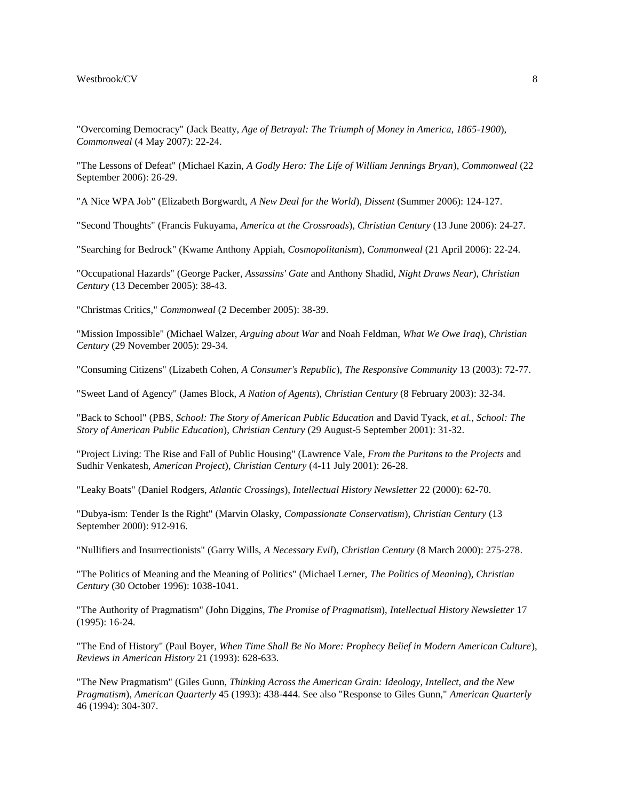"Overcoming Democracy" (Jack Beatty, *Age of Betrayal: The Triumph of Money in America, 1865-1900*), *Commonweal* (4 May 2007): 22-24.

"The Lessons of Defeat" (Michael Kazin, *A Godly Hero: The Life of William Jennings Bryan*), *Commonweal* (22 September 2006): 26-29.

"A Nice WPA Job" (Elizabeth Borgwardt, *A New Deal for the World*), *Dissent* (Summer 2006): 124-127.

"Second Thoughts" (Francis Fukuyama, *America at the Crossroads*), *Christian Century* (13 June 2006): 24-27.

"Searching for Bedrock" (Kwame Anthony Appiah, *Cosmopolitanism*), *Commonweal* (21 April 2006): 22-24.

"Occupational Hazards" (George Packer, *Assassins' Gate* and Anthony Shadid, *Night Draws Near*), *Christian Century* (13 December 2005): 38-43.

"Christmas Critics," *Commonweal* (2 December 2005): 38-39.

"Mission Impossible" (Michael Walzer, *Arguing about War* and Noah Feldman, *What We Owe Iraq*), *Christian Century* (29 November 2005): 29-34.

"Consuming Citizens" (Lizabeth Cohen, *A Consumer's Republic*), *The Responsive Community* 13 (2003): 72-77.

"Sweet Land of Agency" (James Block, *A Nation of Agents*), *Christian Century* (8 February 2003): 32-34.

"Back to School" (PBS, *School: The Story of American Public Education* and David Tyack, *et al.*, *School: The Story of American Public Education*), *Christian Century* (29 August-5 September 2001): 31-32.

"Project Living: The Rise and Fall of Public Housing" (Lawrence Vale, *From the Puritans to the Projects* and Sudhir Venkatesh, *American Project*), *Christian Century* (4-11 July 2001): 26-28.

"Leaky Boats" (Daniel Rodgers, *Atlantic Crossings*), *Intellectual History Newsletter* 22 (2000): 62-70.

"Dubya-ism: Tender Is the Right" (Marvin Olasky, *Compassionate Conservatism*), *Christian Century* (13 September 2000): 912-916.

"Nullifiers and Insurrectionists" (Garry Wills, *A Necessary Evil*), *Christian Century* (8 March 2000): 275-278.

"The Politics of Meaning and the Meaning of Politics" (Michael Lerner, *The Politics of Meaning*), *Christian Century* (30 October 1996): 1038-1041.

"The Authority of Pragmatism" (John Diggins, *The Promise of Pragmatism*), *Intellectual History Newsletter* 17 (1995): 16-24.

"The End of History" (Paul Boyer, *When Time Shall Be No More: Prophecy Belief in Modern American Culture*), *Reviews in American History* 21 (1993): 628-633.

"The New Pragmatism" (Giles Gunn, *Thinking Across the American Grain: Ideology, Intellect, and the New Pragmatism*), *American Quarterly* 45 (1993): 438-444. See also "Response to Giles Gunn," *American Quarterly* 46 (1994): 304-307.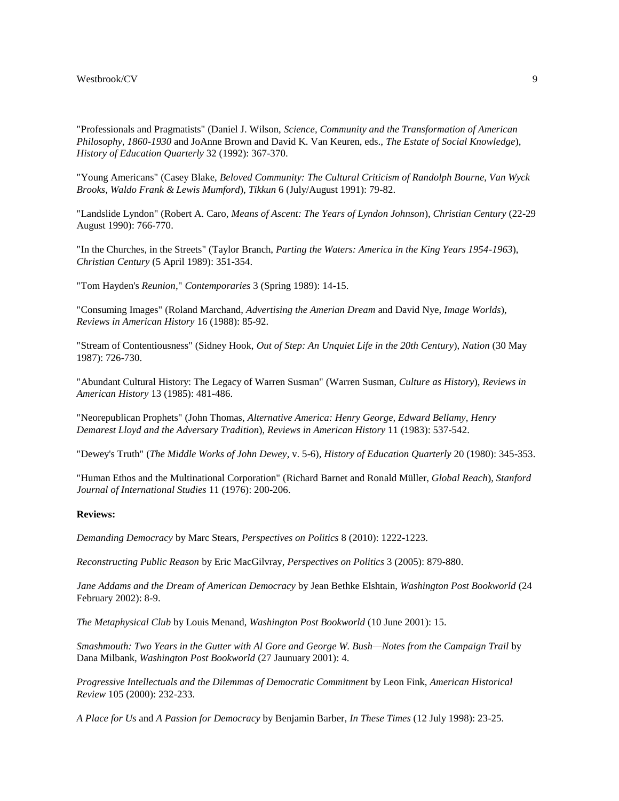"Professionals and Pragmatists" (Daniel J. Wilson, *Science, Community and the Transformation of American Philosophy, 1860-1930* and JoAnne Brown and David K. Van Keuren, eds., *The Estate of Social Knowledge*), *History of Education Quarterly* 32 (1992): 367-370.

"Young Americans" (Casey Blake, *Beloved Community: The Cultural Criticism of Randolph Bourne, Van Wyck Brooks, Waldo Frank & Lewis Mumford*), *Tikkun* 6 (July/August 1991): 79-82.

"Landslide Lyndon" (Robert A. Caro, *Means of Ascent: The Years of Lyndon Johnson*), *Christian Century* (22-29 August 1990): 766-770.

"In the Churches, in the Streets" (Taylor Branch, *Parting the Waters: America in the King Years 1954-1963*), *Christian Century* (5 April 1989): 351-354.

"Tom Hayden's *Reunion*," *Contemporaries* 3 (Spring 1989): 14-15.

"Consuming Images" (Roland Marchand, *Advertising the Amerian Dream* and David Nye, *Image Worlds*), *Reviews in American History* 16 (1988): 85-92.

"Stream of Contentiousness" (Sidney Hook, *Out of Step: An Unquiet Life in the 20th Century*), *Nation* (30 May 1987): 726-730.

"Abundant Cultural History: The Legacy of Warren Susman" (Warren Susman, *Culture as History*), *Reviews in American History* 13 (1985): 481-486.

"Neorepublican Prophets" (John Thomas, *Alternative America: Henry George, Edward Bellamy, Henry Demarest Lloyd and the Adversary Tradition*), *Reviews in American History* 11 (1983): 537-542.

"Dewey's Truth" (*The Middle Works of John Dewey*, v. 5-6), *History of Education Quarterly* 20 (1980): 345-353.

"Human Ethos and the Multinational Corporation" (Richard Barnet and Ronald Müller, *Global Reach*), *Stanford Journal of International Studies* 11 (1976): 200-206.

# **Reviews:**

*Demanding Democracy* by Marc Stears, *Perspectives on Politics* 8 (2010): 1222-1223.

*Reconstructing Public Reason* by Eric MacGilvray, *Perspectives on Politics* 3 (2005): 879-880.

*Jane Addams and the Dream of American Democracy* by Jean Bethke Elshtain, *Washington Post Bookworld* (24 February 2002): 8-9.

*The Metaphysical Club* by Louis Menand, *Washington Post Bookworld* (10 June 2001): 15.

*Smashmouth: Two Years in the Gutter with Al Gore and George W. Bush—Notes from the Campaign Trail* by Dana Milbank, *Washington Post Bookworld* (27 Jaunuary 2001): 4.

*Progressive Intellectuals and the Dilemmas of Democratic Commitment* by Leon Fink, *American Historical Review* 105 (2000): 232-233.

*A Place for Us* and *A Passion for Democracy* by Benjamin Barber, *In These Times* (12 July 1998): 23-25.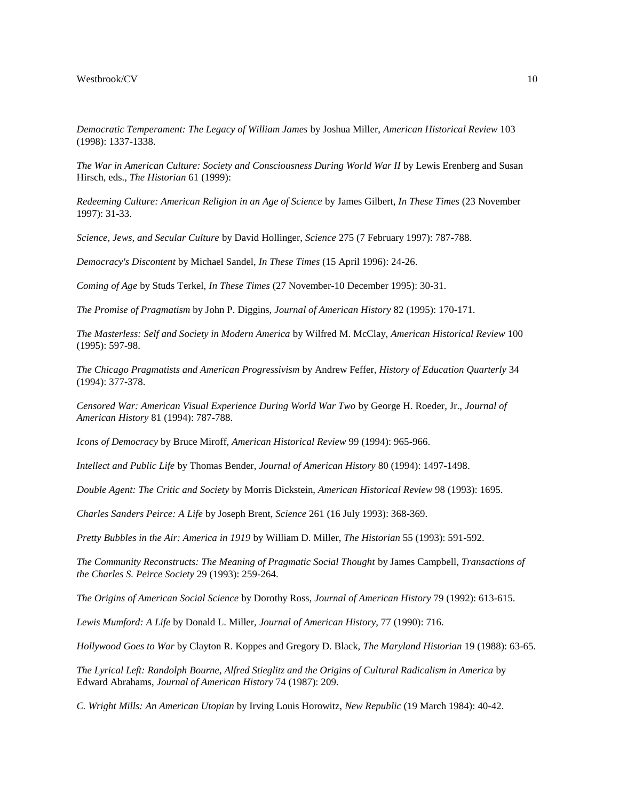*Democratic Temperament: The Legacy of William James* by Joshua Miller, *American Historical Review* 103 (1998): 1337-1338.

*The War in American Culture: Society and Consciousness During World War II* by Lewis Erenberg and Susan Hirsch, eds., *The Historian* 61 (1999):

*Redeeming Culture: American Religion in an Age of Science* by James Gilbert, *In These Times* (23 November 1997): 31-33.

*Science, Jews, and Secular Culture* by David Hollinger, *Science* 275 (7 February 1997): 787-788.

*Democracy's Discontent* by Michael Sandel, *In These Times* (15 April 1996): 24-26.

*Coming of Age* by Studs Terkel, *In These Times* (27 November-10 December 1995): 30-31.

*The Promise of Pragmatism* by John P. Diggins, *Journal of American History* 82 (1995): 170-171.

*The Masterless: Self and Society in Modern America* by Wilfred M. McClay, *American Historical Review* 100 (1995): 597-98.

*The Chicago Pragmatists and American Progressivism* by Andrew Feffer, *History of Education Quarterly* 34 (1994): 377-378.

*Censored War: American Visual Experience During World War Two* by George H. Roeder, Jr., *Journal of American History* 81 (1994): 787-788.

*Icons of Democracy* by Bruce Miroff, *American Historical Review* 99 (1994): 965-966.

*Intellect and Public Life* by Thomas Bender, *Journal of American History* 80 (1994): 1497-1498.

*Double Agent: The Critic and Society* by Morris Dickstein, *American Historical Review* 98 (1993): 1695.

*Charles Sanders Peirce: A Life* by Joseph Brent, *Science* 261 (16 July 1993): 368-369.

*Pretty Bubbles in the Air: America in 1919* by William D. Miller, *The Historian* 55 (1993): 591-592.

*The Community Reconstructs: The Meaning of Pragmatic Social Thought* by James Campbell, *Transactions of the Charles S. Peirce Society* 29 (1993): 259-264.

*The Origins of American Social Science* by Dorothy Ross, *Journal of American History* 79 (1992): 613-615.

*Lewis Mumford: A Life* by Donald L. Miller, *Journal of American History*, 77 (1990): 716.

*Hollywood Goes to War* by Clayton R. Koppes and Gregory D. Black, *The Maryland Historian* 19 (1988): 63-65.

*The Lyrical Left: Randolph Bourne, Alfred Stieglitz and the Origins of Cultural Radicalism in America* by Edward Abrahams, *Journal of American History* 74 (1987): 209.

*C. Wright Mills: An American Utopian* by Irving Louis Horowitz, *New Republic* (19 March 1984): 40-42.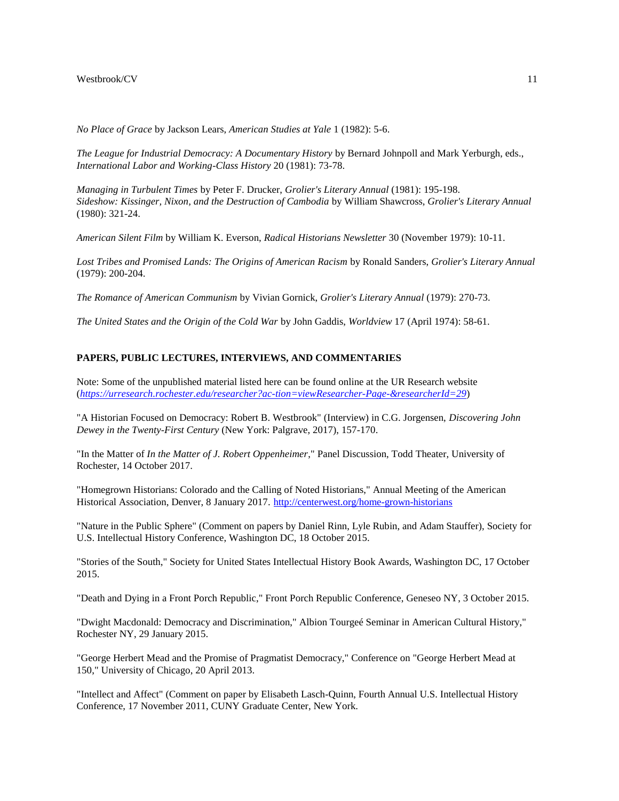*No Place of Grace* by Jackson Lears, *American Studies at Yale* 1 (1982): 5-6.

*The League for Industrial Democracy: A Documentary History* by Bernard Johnpoll and Mark Yerburgh, eds., *International Labor and Working-Class History* 20 (1981): 73-78.

*Managing in Turbulent Times* by Peter F. Drucker, *Grolier's Literary Annual* (1981): 195-198. *Sideshow: Kissinger, Nixon, and the Destruction of Cambodia* by William Shawcross, *Grolier's Literary Annual* (1980): 321-24.

*American Silent Film* by William K. Everson, *Radical Historians Newsletter* 30 (November 1979): 10-11.

*Lost Tribes and Promised Lands: The Origins of American Racism* by Ronald Sanders, *Grolier's Literary Annual* (1979): 200-204.

*The Romance of American Communism* by Vivian Gornick, *Grolier's Literary Annual* (1979): 270-73.

*The United States and the Origin of the Cold War* by John Gaddis, *Worldview* 17 (April 1974): 58-61.

# **PAPERS, PUBLIC LECTURES, INTERVIEWS, AND COMMENTARIES**

Note: Some of the unpublished material listed here can be found online at the UR Research website (*<https://urresearch.rochester.edu/researcher?ac-tion=viewResearcher-Page-&researcherId=29>*)

"A Historian Focused on Democracy: Robert B. Westbrook" (Interview) in C.G. Jorgensen, *Discovering John Dewey in the Twenty-First Century* (New York: Palgrave, 2017), 157-170.

"In the Matter of *In the Matter of J. Robert Oppenheimer*," Panel Discussion, Todd Theater, University of Rochester, 14 October 2017.

"Homegrown Historians: Colorado and the Calling of Noted Historians," Annual Meeting of the American Historical Association, Denver, 8 January 2017. <http://centerwest.org/home-grown-historians>

"Nature in the Public Sphere" (Comment on papers by Daniel Rinn, Lyle Rubin, and Adam Stauffer), Society for U.S. Intellectual History Conference, Washington DC, 18 October 2015.

"Stories of the South," Society for United States Intellectual History Book Awards, Washington DC, 17 October 2015.

"Death and Dying in a Front Porch Republic," Front Porch Republic Conference, Geneseo NY, 3 October 2015.

"Dwight Macdonald: Democracy and Discrimination," Albion Tourgeé Seminar in American Cultural History," Rochester NY, 29 January 2015.

"George Herbert Mead and the Promise of Pragmatist Democracy," Conference on "George Herbert Mead at 150," University of Chicago, 20 April 2013.

"Intellect and Affect" (Comment on paper by Elisabeth Lasch-Quinn, Fourth Annual U.S. Intellectual History Conference, 17 November 2011, CUNY Graduate Center, New York.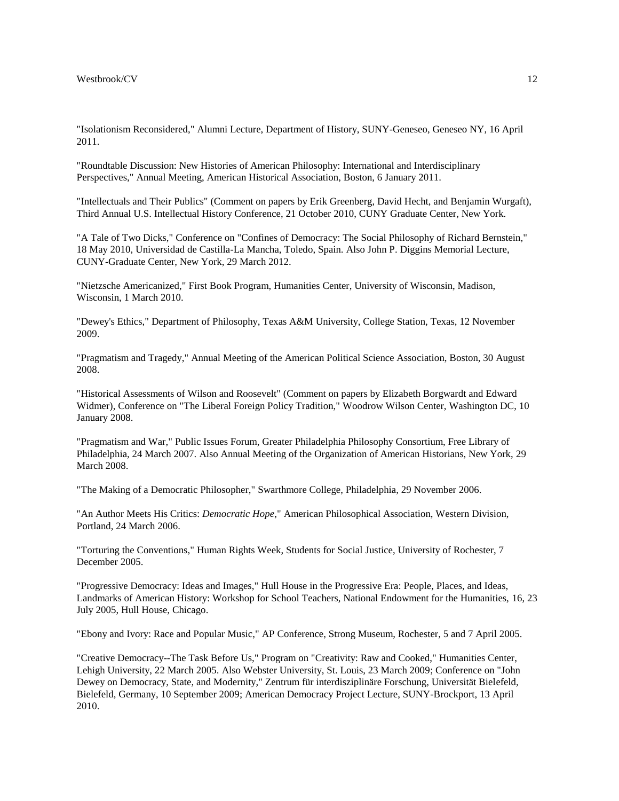"Isolationism Reconsidered," Alumni Lecture, Department of History, SUNY-Geneseo, Geneseo NY, 16 April 2011.

"Roundtable Discussion: New Histories of American Philosophy: International and Interdisciplinary Perspectives," Annual Meeting, American Historical Association, Boston, 6 January 2011.

"Intellectuals and Their Publics" (Comment on papers by Erik Greenberg, David Hecht, and Benjamin Wurgaft), Third Annual U.S. Intellectual History Conference, 21 October 2010, CUNY Graduate Center, New York.

"A Tale of Two Dicks," Conference on "Confines of Democracy: The Social Philosophy of Richard Bernstein," 18 May 2010, Universidad de Castilla-La Mancha, Toledo, Spain. Also John P. Diggins Memorial Lecture, CUNY-Graduate Center, New York, 29 March 2012.

"Nietzsche Americanized," First Book Program, Humanities Center, University of Wisconsin, Madison, Wisconsin, 1 March 2010.

"Dewey's Ethics," Department of Philosophy, Texas A&M University, College Station, Texas, 12 November 2009.

"Pragmatism and Tragedy," Annual Meeting of the American Political Science Association, Boston, 30 August 2008.

"Historical Assessments of Wilson and Roosevelt" (Comment on papers by Elizabeth Borgwardt and Edward Widmer), Conference on "The Liberal Foreign Policy Tradition," Woodrow Wilson Center, Washington DC, 10 January 2008.

"Pragmatism and War," Public Issues Forum, Greater Philadelphia Philosophy Consortium, Free Library of Philadelphia, 24 March 2007. Also Annual Meeting of the Organization of American Historians, New York, 29 March 2008.

"The Making of a Democratic Philosopher," Swarthmore College, Philadelphia, 29 November 2006.

"An Author Meets His Critics: *Democratic Hope*," American Philosophical Association, Western Division, Portland, 24 March 2006.

"Torturing the Conventions," Human Rights Week, Students for Social Justice, University of Rochester, 7 December 2005.

"Progressive Democracy: Ideas and Images," Hull House in the Progressive Era: People, Places, and Ideas, Landmarks of American History: Workshop for School Teachers, National Endowment for the Humanities, 16, 23 July 2005, Hull House, Chicago.

"Ebony and Ivory: Race and Popular Music," AP Conference, Strong Museum, Rochester, 5 and 7 April 2005.

"Creative Democracy--The Task Before Us," Program on "Creativity: Raw and Cooked," Humanities Center, Lehigh University, 22 March 2005. Also Webster University, St. Louis, 23 March 2009; Conference on "John Dewey on Democracy, State, and Modernity," Zentrum für interdisziplinäre Forschung, Universität Bielefeld, Bielefeld, Germany, 10 September 2009; American Democracy Project Lecture, SUNY-Brockport, 13 April 2010.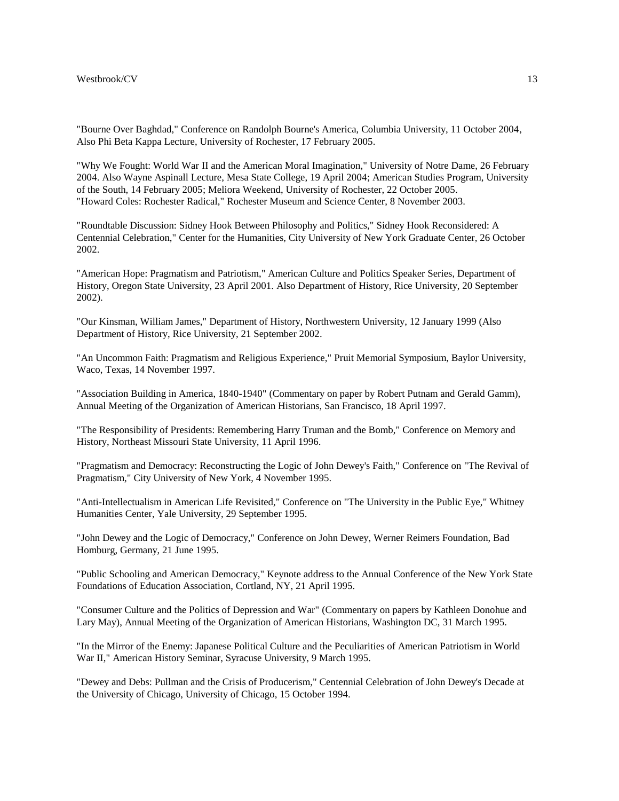"Bourne Over Baghdad," Conference on Randolph Bourne's America, Columbia University, 11 October 2004, Also Phi Beta Kappa Lecture, University of Rochester, 17 February 2005.

"Why We Fought: World War II and the American Moral Imagination," University of Notre Dame, 26 February 2004. Also Wayne Aspinall Lecture, Mesa State College, 19 April 2004; American Studies Program, University of the South, 14 February 2005; Meliora Weekend, University of Rochester, 22 October 2005. "Howard Coles: Rochester Radical," Rochester Museum and Science Center, 8 November 2003.

"Roundtable Discussion: Sidney Hook Between Philosophy and Politics," Sidney Hook Reconsidered: A Centennial Celebration," Center for the Humanities, City University of New York Graduate Center, 26 October 2002.

"American Hope: Pragmatism and Patriotism," American Culture and Politics Speaker Series, Department of History, Oregon State University, 23 April 2001. Also Department of History, Rice University, 20 September 2002).

"Our Kinsman, William James," Department of History, Northwestern University, 12 January 1999 (Also Department of History, Rice University, 21 September 2002.

"An Uncommon Faith: Pragmatism and Religious Experience," Pruit Memorial Symposium, Baylor University, Waco, Texas, 14 November 1997.

"Association Building in America, 1840-1940" (Commentary on paper by Robert Putnam and Gerald Gamm), Annual Meeting of the Organization of American Historians, San Francisco, 18 April 1997.

"The Responsibility of Presidents: Remembering Harry Truman and the Bomb," Conference on Memory and History, Northeast Missouri State University, 11 April 1996.

"Pragmatism and Democracy: Reconstructing the Logic of John Dewey's Faith," Conference on "The Revival of Pragmatism," City University of New York, 4 November 1995.

"Anti-Intellectualism in American Life Revisited," Conference on "The University in the Public Eye," Whitney Humanities Center, Yale University, 29 September 1995.

"John Dewey and the Logic of Democracy," Conference on John Dewey, Werner Reimers Foundation, Bad Homburg, Germany, 21 June 1995.

"Public Schooling and American Democracy," Keynote address to the Annual Conference of the New York State Foundations of Education Association, Cortland, NY, 21 April 1995.

"Consumer Culture and the Politics of Depression and War" (Commentary on papers by Kathleen Donohue and Lary May), Annual Meeting of the Organization of American Historians, Washington DC, 31 March 1995.

"In the Mirror of the Enemy: Japanese Political Culture and the Peculiarities of American Patriotism in World War II," American History Seminar, Syracuse University, 9 March 1995.

"Dewey and Debs: Pullman and the Crisis of Producerism," Centennial Celebration of John Dewey's Decade at the University of Chicago, University of Chicago, 15 October 1994.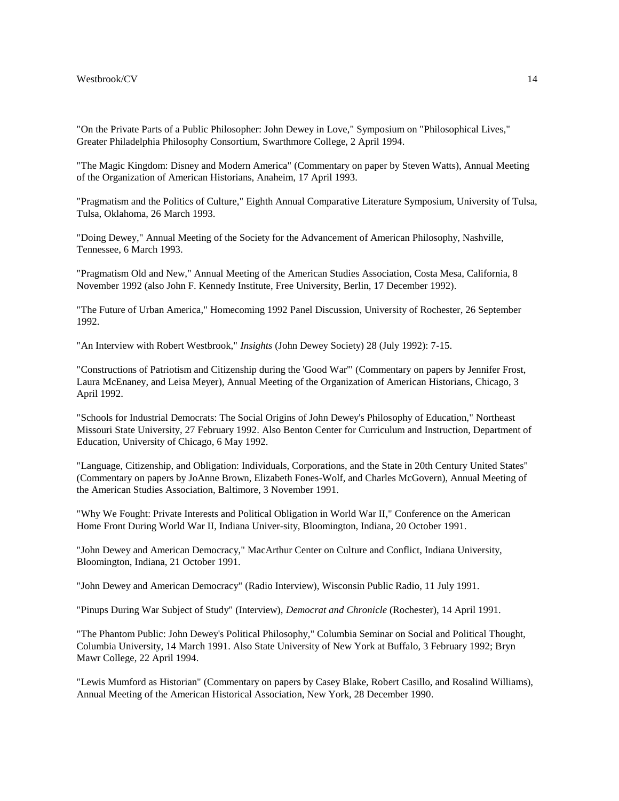"On the Private Parts of a Public Philosopher: John Dewey in Love," Symposium on "Philosophical Lives," Greater Philadelphia Philosophy Consortium, Swarthmore College, 2 April 1994.

"The Magic Kingdom: Disney and Modern America" (Commentary on paper by Steven Watts), Annual Meeting of the Organization of American Historians, Anaheim, 17 April 1993.

"Pragmatism and the Politics of Culture," Eighth Annual Comparative Literature Symposium, University of Tulsa, Tulsa, Oklahoma, 26 March 1993.

"Doing Dewey," Annual Meeting of the Society for the Advancement of American Philosophy, Nashville, Tennessee, 6 March 1993.

"Pragmatism Old and New," Annual Meeting of the American Studies Association, Costa Mesa, California, 8 November 1992 (also John F. Kennedy Institute, Free University, Berlin, 17 December 1992).

"The Future of Urban America," Homecoming 1992 Panel Discussion, University of Rochester, 26 September 1992.

"An Interview with Robert Westbrook," *Insights* (John Dewey Society) 28 (July 1992): 7-15.

"Constructions of Patriotism and Citizenship during the 'Good War'" (Commentary on papers by Jennifer Frost, Laura McEnaney, and Leisa Meyer), Annual Meeting of the Organization of American Historians, Chicago, 3 April 1992.

"Schools for Industrial Democrats: The Social Origins of John Dewey's Philosophy of Education," Northeast Missouri State University, 27 February 1992. Also Benton Center for Curriculum and Instruction, Department of Education, University of Chicago, 6 May 1992.

"Language, Citizenship, and Obligation: Individuals, Corporations, and the State in 20th Century United States" (Commentary on papers by JoAnne Brown, Elizabeth Fones-Wolf, and Charles McGovern), Annual Meeting of the American Studies Association, Baltimore, 3 November 1991.

"Why We Fought: Private Interests and Political Obligation in World War II," Conference on the American Home Front During World War II, Indiana Univer-sity, Bloomington, Indiana, 20 October 1991.

"John Dewey and American Democracy," MacArthur Center on Culture and Conflict, Indiana University, Bloomington, Indiana, 21 October 1991.

"John Dewey and American Democracy" (Radio Interview), Wisconsin Public Radio, 11 July 1991.

"Pinups During War Subject of Study" (Interview), *Democrat and Chronicle* (Rochester), 14 April 1991.

"The Phantom Public: John Dewey's Political Philosophy," Columbia Seminar on Social and Political Thought, Columbia University, 14 March 1991. Also State University of New York at Buffalo, 3 February 1992; Bryn Mawr College, 22 April 1994.

"Lewis Mumford as Historian" (Commentary on papers by Casey Blake, Robert Casillo, and Rosalind Williams), Annual Meeting of the American Historical Association, New York, 28 December 1990.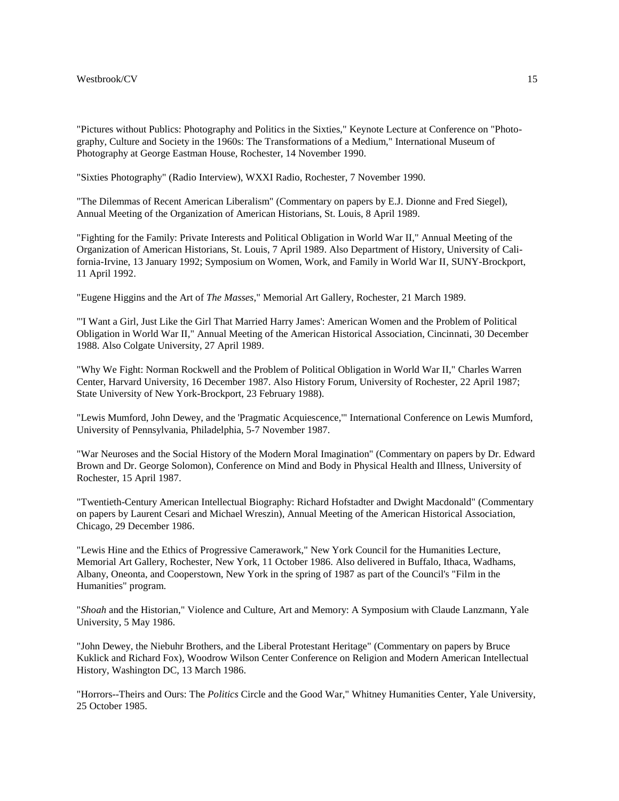"Pictures without Publics: Photography and Politics in the Sixties," Keynote Lecture at Conference on "Photography, Culture and Society in the 1960s: The Transformations of a Medium," International Museum of Photography at George Eastman House, Rochester, 14 November 1990.

"Sixties Photography" (Radio Interview), WXXI Radio, Rochester, 7 November 1990.

"The Dilemmas of Recent American Liberalism" (Commentary on papers by E.J. Dionne and Fred Siegel), Annual Meeting of the Organization of American Historians, St. Louis, 8 April 1989.

"Fighting for the Family: Private Interests and Political Obligation in World War II," Annual Meeting of the Organization of American Historians, St. Louis, 7 April 1989. Also Department of History, University of California-Irvine, 13 January 1992; Symposium on Women, Work, and Family in World War II, SUNY-Brockport, 11 April 1992.

"Eugene Higgins and the Art of *The Masses*," Memorial Art Gallery, Rochester, 21 March 1989.

"'I Want a Girl, Just Like the Girl That Married Harry James': American Women and the Problem of Political Obligation in World War II," Annual Meeting of the American Historical Association, Cincinnati, 30 December 1988. Also Colgate University, 27 April 1989.

"Why We Fight: Norman Rockwell and the Problem of Political Obligation in World War II," Charles Warren Center, Harvard University, 16 December 1987. Also History Forum, University of Rochester, 22 April 1987; State University of New York-Brockport, 23 February 1988).

"Lewis Mumford, John Dewey, and the 'Pragmatic Acquiescence,'" International Conference on Lewis Mumford, University of Pennsylvania, Philadelphia, 5-7 November 1987.

"War Neuroses and the Social History of the Modern Moral Imagination" (Commentary on papers by Dr. Edward Brown and Dr. George Solomon), Conference on Mind and Body in Physical Health and Illness, University of Rochester, 15 April 1987.

"Twentieth-Century American Intellectual Biography: Richard Hofstadter and Dwight Macdonald" (Commentary on papers by Laurent Cesari and Michael Wreszin), Annual Meeting of the American Historical Association, Chicago, 29 December 1986.

"Lewis Hine and the Ethics of Progressive Camerawork," New York Council for the Humanities Lecture, Memorial Art Gallery, Rochester, New York, 11 October 1986. Also delivered in Buffalo, Ithaca, Wadhams, Albany, Oneonta, and Cooperstown, New York in the spring of 1987 as part of the Council's "Film in the Humanities" program.

"*Shoah* and the Historian," Violence and Culture, Art and Memory: A Symposium with Claude Lanzmann, Yale University, 5 May 1986.

"John Dewey, the Niebuhr Brothers, and the Liberal Protestant Heritage" (Commentary on papers by Bruce Kuklick and Richard Fox), Woodrow Wilson Center Conference on Religion and Modern American Intellectual History, Washington DC, 13 March 1986.

"Horrors--Theirs and Ours: The *Politics* Circle and the Good War," Whitney Humanities Center, Yale University, 25 October 1985.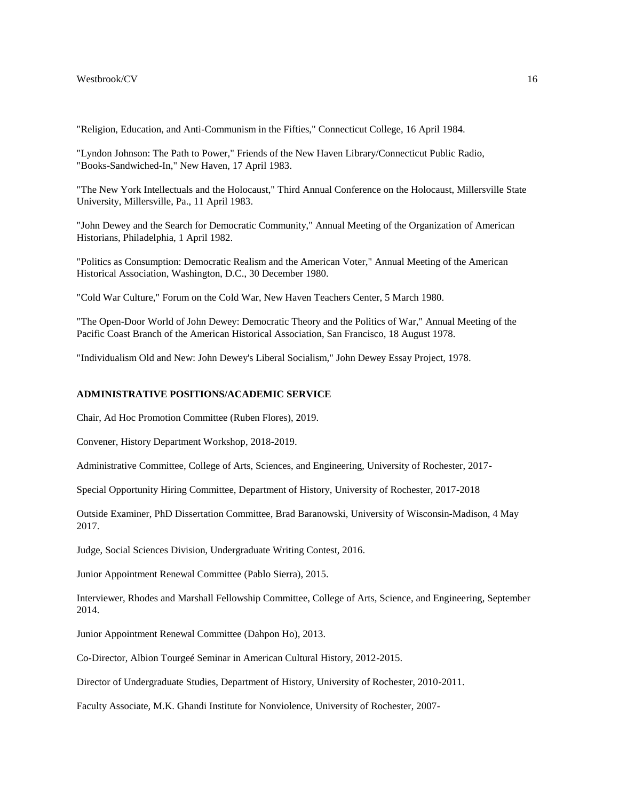"Religion, Education, and Anti-Communism in the Fifties," Connecticut College, 16 April 1984.

"Lyndon Johnson: The Path to Power," Friends of the New Haven Library/Connecticut Public Radio, "Books-Sandwiched-In," New Haven, 17 April 1983.

"The New York Intellectuals and the Holocaust," Third Annual Conference on the Holocaust, Millersville State University, Millersville, Pa., 11 April 1983.

"John Dewey and the Search for Democratic Community," Annual Meeting of the Organization of American Historians, Philadelphia, 1 April 1982.

"Politics as Consumption: Democratic Realism and the American Voter," Annual Meeting of the American Historical Association, Washington, D.C., 30 December 1980.

"Cold War Culture," Forum on the Cold War, New Haven Teachers Center, 5 March 1980.

"The Open-Door World of John Dewey: Democratic Theory and the Politics of War," Annual Meeting of the Pacific Coast Branch of the American Historical Association, San Francisco, 18 August 1978.

"Individualism Old and New: John Dewey's Liberal Socialism," John Dewey Essay Project, 1978.

# **ADMINISTRATIVE POSITIONS/ACADEMIC SERVICE**

Chair, Ad Hoc Promotion Committee (Ruben Flores), 2019.

Convener, History Department Workshop, 2018-2019.

Administrative Committee, College of Arts, Sciences, and Engineering, University of Rochester, 2017-

Special Opportunity Hiring Committee, Department of History, University of Rochester, 2017-2018

Outside Examiner, PhD Dissertation Committee, Brad Baranowski, University of Wisconsin-Madison, 4 May 2017.

Judge, Social Sciences Division, Undergraduate Writing Contest, 2016.

Junior Appointment Renewal Committee (Pablo Sierra), 2015.

Interviewer, Rhodes and Marshall Fellowship Committee, College of Arts, Science, and Engineering, September 2014.

Junior Appointment Renewal Committee (Dahpon Ho), 2013.

Co-Director, Albion Tourgeé Seminar in American Cultural History, 2012-2015.

Director of Undergraduate Studies, Department of History, University of Rochester, 2010-2011.

Faculty Associate, M.K. Ghandi Institute for Nonviolence, University of Rochester, 2007-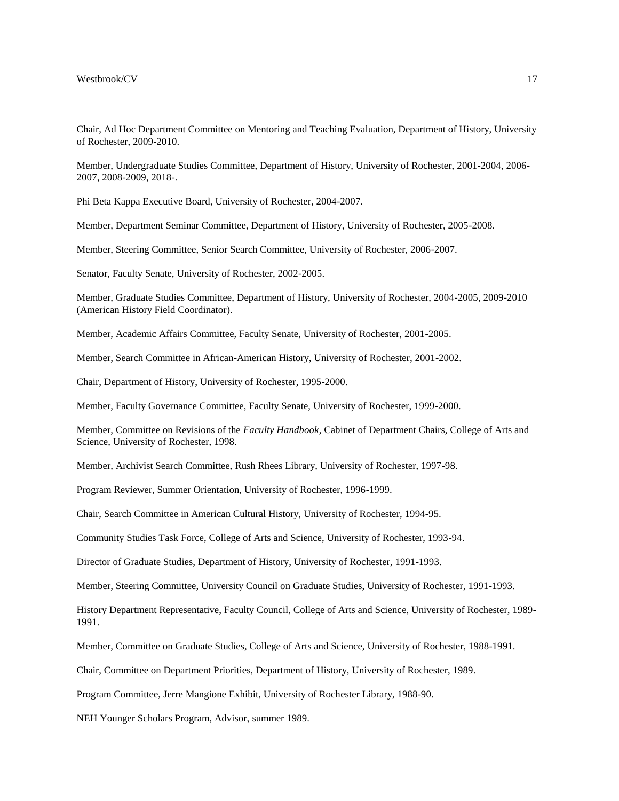Chair, Ad Hoc Department Committee on Mentoring and Teaching Evaluation, Department of History, University of Rochester, 2009-2010.

Member, Undergraduate Studies Committee, Department of History, University of Rochester, 2001-2004, 2006- 2007, 2008-2009, 2018-.

Phi Beta Kappa Executive Board, University of Rochester, 2004-2007.

Member, Department Seminar Committee, Department of History, University of Rochester, 2005-2008.

Member, Steering Committee, Senior Search Committee, University of Rochester, 2006-2007.

Senator, Faculty Senate, University of Rochester, 2002-2005.

Member, Graduate Studies Committee, Department of History, University of Rochester, 2004-2005, 2009-2010 (American History Field Coordinator).

Member, Academic Affairs Committee, Faculty Senate, University of Rochester, 2001-2005.

Member, Search Committee in African-American History, University of Rochester, 2001-2002.

Chair, Department of History, University of Rochester, 1995-2000.

Member, Faculty Governance Committee, Faculty Senate, University of Rochester, 1999-2000.

Member, Committee on Revisions of the *Faculty Handbook*, Cabinet of Department Chairs, College of Arts and Science, University of Rochester, 1998.

Member, Archivist Search Committee, Rush Rhees Library, University of Rochester, 1997-98.

Program Reviewer, Summer Orientation, University of Rochester, 1996-1999.

Chair, Search Committee in American Cultural History, University of Rochester, 1994-95.

Community Studies Task Force, College of Arts and Science, University of Rochester, 1993-94.

Director of Graduate Studies, Department of History, University of Rochester, 1991-1993.

Member, Steering Committee, University Council on Graduate Studies, University of Rochester, 1991-1993.

History Department Representative, Faculty Council, College of Arts and Science, University of Rochester, 1989- 1991.

Member, Committee on Graduate Studies, College of Arts and Science, University of Rochester, 1988-1991.

Chair, Committee on Department Priorities, Department of History, University of Rochester, 1989.

Program Committee, Jerre Mangione Exhibit, University of Rochester Library, 1988-90.

NEH Younger Scholars Program, Advisor, summer 1989.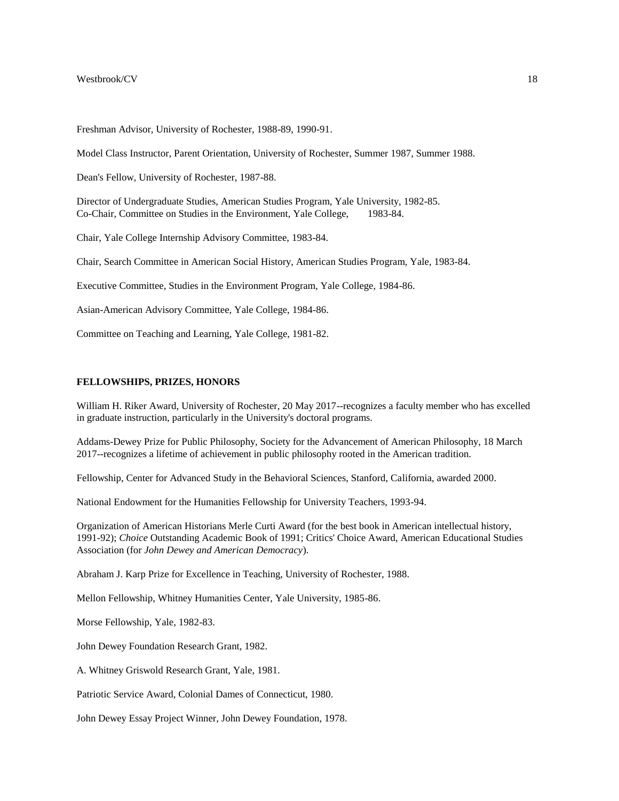Freshman Advisor, University of Rochester, 1988-89, 1990-91.

Model Class Instructor, Parent Orientation, University of Rochester, Summer 1987, Summer 1988.

Dean's Fellow, University of Rochester, 1987-88.

Director of Undergraduate Studies, American Studies Program, Yale University, 1982-85. Co-Chair, Committee on Studies in the Environment, Yale College, 1983-84.

Chair, Yale College Internship Advisory Committee, 1983-84.

Chair, Search Committee in American Social History, American Studies Program, Yale, 1983-84.

Executive Committee, Studies in the Environment Program, Yale College, 1984-86.

Asian-American Advisory Committee, Yale College, 1984-86.

Committee on Teaching and Learning, Yale College, 1981-82.

# **FELLOWSHIPS, PRIZES, HONORS**

William H. Riker Award, University of Rochester, 20 May 2017--recognizes a faculty member who has excelled in graduate instruction, particularly in the University's doctoral programs.

Addams-Dewey Prize for Public Philosophy, Society for the Advancement of American Philosophy, 18 March 2017--recognizes a lifetime of achievement in public philosophy rooted in the American tradition.

Fellowship, Center for Advanced Study in the Behavioral Sciences, Stanford, California, awarded 2000.

National Endowment for the Humanities Fellowship for University Teachers, 1993-94.

Organization of American Historians Merle Curti Award (for the best book in American intellectual history, 1991-92); *Choice* Outstanding Academic Book of 1991; Critics' Choice Award, American Educational Studies Association (for *John Dewey and American Democracy*).

Abraham J. Karp Prize for Excellence in Teaching, University of Rochester, 1988.

Mellon Fellowship, Whitney Humanities Center, Yale University, 1985-86.

Morse Fellowship, Yale, 1982-83.

John Dewey Foundation Research Grant, 1982.

A. Whitney Griswold Research Grant, Yale, 1981.

Patriotic Service Award, Colonial Dames of Connecticut, 1980.

John Dewey Essay Project Winner, John Dewey Foundation, 1978.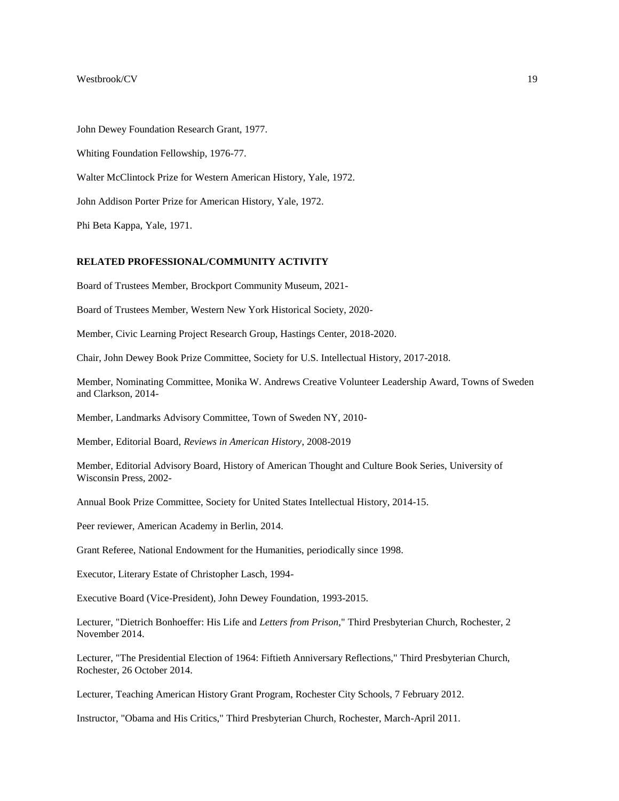John Dewey Foundation Research Grant, 1977.

Whiting Foundation Fellowship, 1976-77.

Walter McClintock Prize for Western American History, Yale, 1972.

John Addison Porter Prize for American History, Yale, 1972.

Phi Beta Kappa, Yale, 1971.

# **RELATED PROFESSIONAL/COMMUNITY ACTIVITY**

Board of Trustees Member, Brockport Community Museum, 2021-

Board of Trustees Member, Western New York Historical Society, 2020-

Member, Civic Learning Project Research Group, Hastings Center, 2018-2020.

Chair, John Dewey Book Prize Committee, Society for U.S. Intellectual History, 2017-2018.

Member, Nominating Committee, Monika W. Andrews Creative Volunteer Leadership Award, Towns of Sweden and Clarkson, 2014-

Member, Landmarks Advisory Committee, Town of Sweden NY, 2010-

Member, Editorial Board, *Reviews in American History*, 2008-2019

Member, Editorial Advisory Board, History of American Thought and Culture Book Series, University of Wisconsin Press, 2002-

Annual Book Prize Committee, Society for United States Intellectual History, 2014-15.

Peer reviewer, American Academy in Berlin, 2014.

Grant Referee, National Endowment for the Humanities, periodically since 1998.

Executor, Literary Estate of Christopher Lasch, 1994-

Executive Board (Vice-President), John Dewey Foundation, 1993-2015.

Lecturer, "Dietrich Bonhoeffer: His Life and *Letters from Prison*," Third Presbyterian Church, Rochester, 2 November 2014.

Lecturer, "The Presidential Election of 1964: Fiftieth Anniversary Reflections," Third Presbyterian Church, Rochester, 26 October 2014.

Lecturer, Teaching American History Grant Program, Rochester City Schools, 7 February 2012.

Instructor, "Obama and His Critics," Third Presbyterian Church, Rochester, March-April 2011.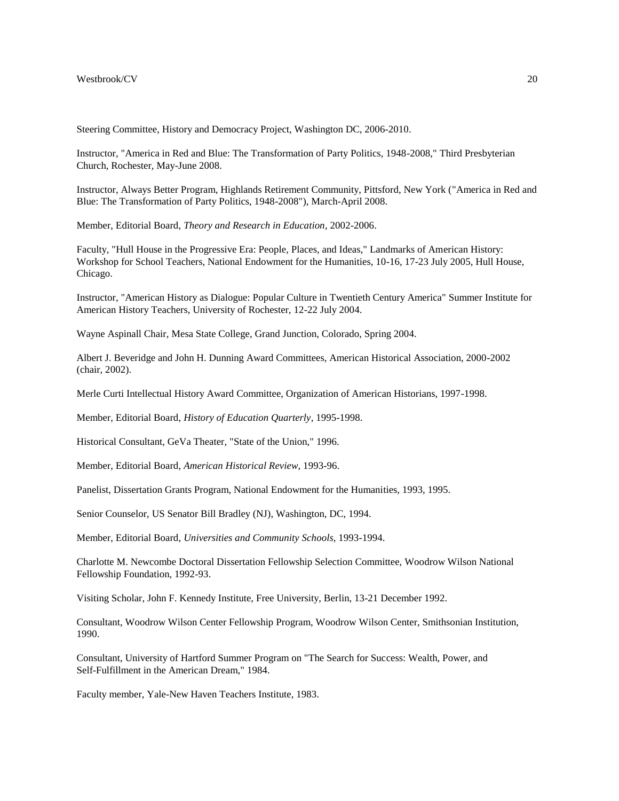Steering Committee, History and Democracy Project, Washington DC, 2006-2010.

Instructor, "America in Red and Blue: The Transformation of Party Politics, 1948-2008," Third Presbyterian Church, Rochester, May-June 2008.

Instructor, Always Better Program, Highlands Retirement Community, Pittsford, New York ("America in Red and Blue: The Transformation of Party Politics, 1948-2008"), March-April 2008.

Member, Editorial Board, *Theory and Research in Education*, 2002-2006.

Faculty, "Hull House in the Progressive Era: People, Places, and Ideas," Landmarks of American History: Workshop for School Teachers, National Endowment for the Humanities, 10-16, 17-23 July 2005, Hull House, Chicago.

Instructor, "American History as Dialogue: Popular Culture in Twentieth Century America" Summer Institute for American History Teachers, University of Rochester, 12-22 July 2004.

Wayne Aspinall Chair, Mesa State College, Grand Junction, Colorado, Spring 2004.

Albert J. Beveridge and John H. Dunning Award Committees, American Historical Association, 2000-2002 (chair, 2002).

Merle Curti Intellectual History Award Committee, Organization of American Historians, 1997-1998.

Member, Editorial Board, *History of Education Quarterly*, 1995-1998.

Historical Consultant, GeVa Theater, "State of the Union," 1996.

Member, Editorial Board, *American Historical Review*, 1993-96.

Panelist, Dissertation Grants Program, National Endowment for the Humanities, 1993, 1995.

Senior Counselor, US Senator Bill Bradley (NJ), Washington, DC, 1994.

Member, Editorial Board, *Universities and Community Schools*, 1993-1994.

Charlotte M. Newcombe Doctoral Dissertation Fellowship Selection Committee, Woodrow Wilson National Fellowship Foundation, 1992-93.

Visiting Scholar, John F. Kennedy Institute, Free University, Berlin, 13-21 December 1992.

Consultant, Woodrow Wilson Center Fellowship Program, Woodrow Wilson Center, Smithsonian Institution, 1990.

Consultant, University of Hartford Summer Program on "The Search for Success: Wealth, Power, and Self-Fulfillment in the American Dream," 1984.

Faculty member, Yale-New Haven Teachers Institute, 1983.